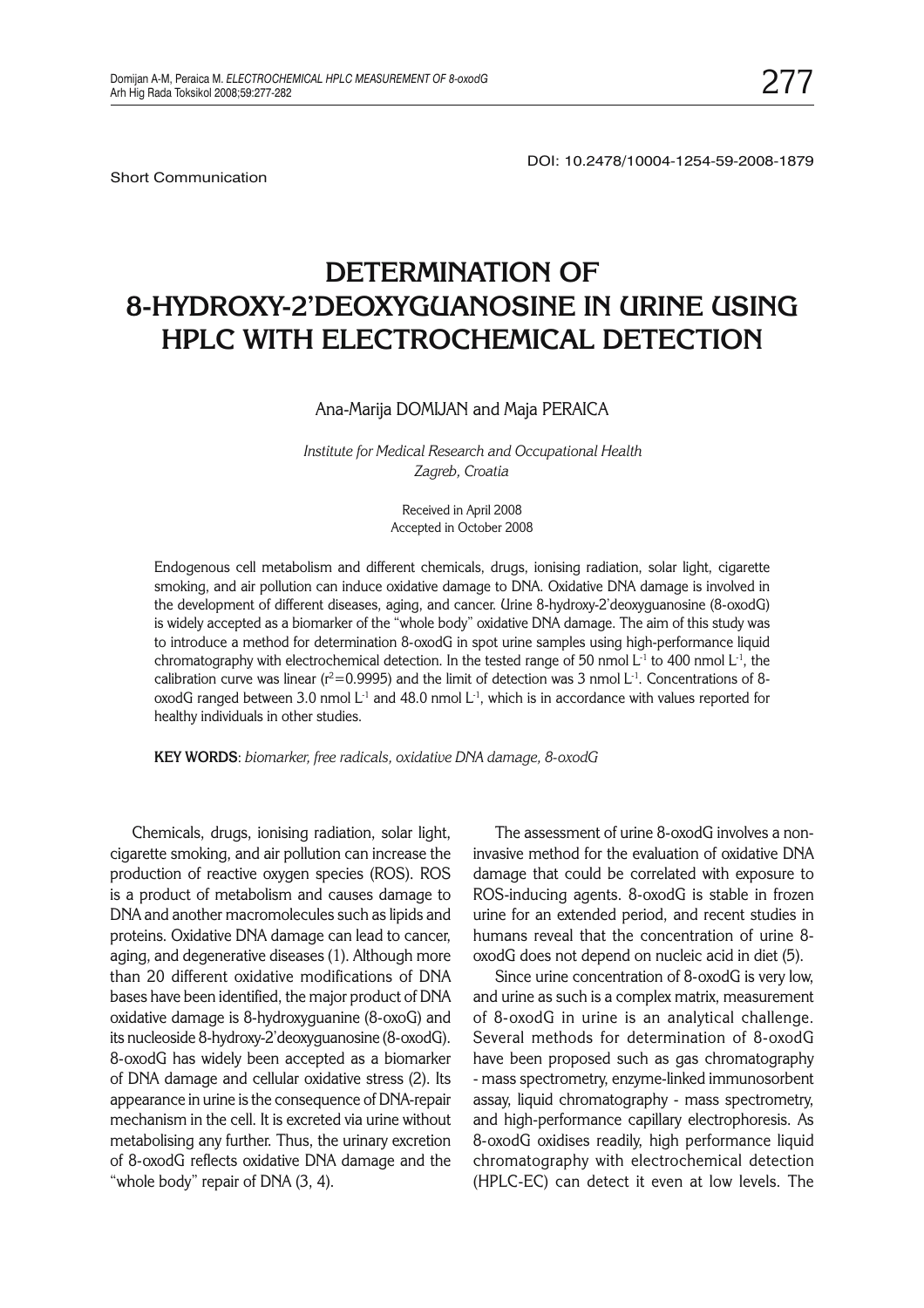Short Communication

DOI: 10.2478/10004-1254-59-2008-1879

# **DETERMINATION OF** 8-HYDROXY-2'DEOXYGUANOSINE IN URINE USING **BPLC WITH ELECTROCHEMICAL DETECTION HPLC WITH ELECTROCHEMICAL DETECTION**

## Ana-Marija DOMIJAN and Maja PERAICA

*Institute for Medical Research and Occupational Health Zagreb, Croatia*

> Received in April 2008 Accepted in October 2008

Endogenous cell metabolism and different chemicals, drugs, ionising radiation, solar light, cigarette smoking, and air pollution can induce oxidative damage to DNA. Oxidative DNA damage is involved in the development of different diseases, aging, and cancer. Urine 8-hydroxy-2'deoxyguanosine (8-oxodG) is widely accepted as a biomarker of the "whole body" oxidative DNA damage. The aim of this study was to introduce a method for determination 8-oxodG in spot urine samples using high-performance liquid chromatography with electrochemical detection. In the tested range of 50 nmol L<sup>-1</sup> to 400 nmol L<sup>-1</sup>, the calibration curve was linear ( $r^2$ =0.9995) and the limit of detection was 3 nmol L<sup>-1</sup>. Concentrations of 8oxodG ranged between 3.0 nmol  $L<sup>-1</sup>$  and 48.0 nmol  $L<sup>-1</sup>$ , which is in accordance with values reported for healthy individuals in other studies.

**KEY WORDS**: *biomarker, free radicals, oxidative DNA damage, 8-oxodG*

Chemicals, drugs, ionising radiation, solar light, cigarette smoking, and air pollution can increase the production of reactive oxygen species (ROS). ROS is a product of metabolism and causes damage to DNA and another macromolecules such as lipids and proteins. Oxidative DNA damage can lead to cancer, aging, and degenerative diseases (1). Although more than 20 different oxidative modifications of DNA bases have been identified, the major product of DNA oxidative damage is 8-hydroxyguanine (8-oxoG) and its nucleoside 8-hydroxy-2'deoxyguanosine (8-oxodG). 8-oxodG has widely been accepted as a biomarker of DNA damage and cellular oxidative stress (2). Its appearance in urine is the consequence of DNA-repair mechanism in the cell. It is excreted via urine without metabolising any further. Thus, the urinary excretion of 8-oxodG reflects oxidative DNA damage and the "whole body" repair of DNA (3, 4).

The assessment of urine 8-oxodG involves a noninvasive method for the evaluation of oxidative DNA damage that could be correlated with exposure to ROS-inducing agents. 8-oxodG is stable in frozen urine for an extended period, and recent studies in humans reveal that the concentration of urine 8 oxodG does not depend on nucleic acid in diet (5).

Since urine concentration of 8-oxodG is very low, and urine as such is a complex matrix, measurement of 8-oxodG in urine is an analytical challenge. Several methods for determination of 8-oxodG have been proposed such as gas chromatography - mass spectrometry, enzyme-linked immunosorbent assay, liquid chromatography - mass spectrometry, and high-performance capillary electrophoresis. As 8-oxodG oxidises readily, high performance liquid chromatography with electrochemical detection (HPLC-EC) can detect it even at low levels. The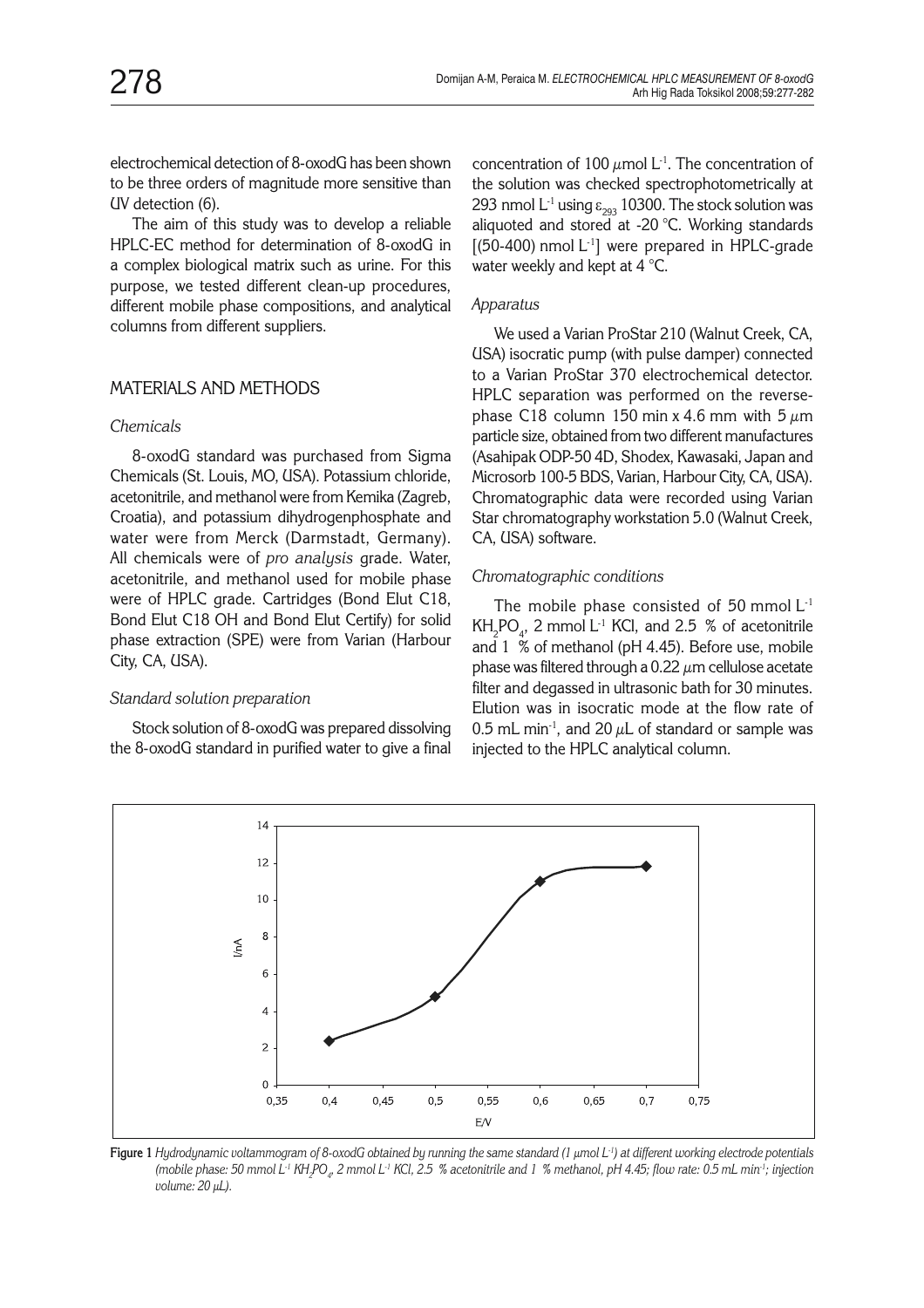electrochemical detection of 8-oxodG has been shown to be three orders of magnitude more sensitive than UV detection (6).

The aim of this study was to develop a reliable HPLC-EC method for determination of 8-oxodG in a complex biological matrix such as urine. For this purpose, we tested different clean-up procedures, different mobile phase compositions, and analytical columns from different suppliers.

# MATERIALS AND METHODS

## *Chemicals*

8-oxodG standard was purchased from Sigma Chemicals (St. Louis, MO, USA). Potassium chloride, acetonitrile, and methanol were from Kemika (Zagreb, Croatia), and potassium dihydrogenphosphate and water were from Merck (Darmstadt, Germany). All chemicals were of *pro analysis* grade. Water, acetonitrile, and methanol used for mobile phase were of HPLC grade. Cartridges (Bond Elut C18, Bond Elut C18 OH and Bond Elut Certify) for solid phase extraction (SPE) were from Varian (Harbour City, CA, USA).

#### *Standard solution preparation*

Stock solution of 8-oxodG was prepared dissolving the 8-oxodG standard in purified water to give a final concentration of 100  $\mu$ mol L<sup>-1</sup>. The concentration of the solution was checked spectrophotometrically at 293 nmol L<sup>-1</sup> using  $\varepsilon_{293}$  10300. The stock solution was aliquoted and stored at -20 °C. Working standards  $[ (50-400)$  nmol L<sup>-1</sup>] were prepared in HPLC-grade water weekly and kept at 4 °C.

#### *Apparatus*

We used a Varian ProStar 210 (Walnut Creek, CA, USA) isocratic pump (with pulse damper) connected to a Varian ProStar 370 electrochemical detector. HPLC separation was performed on the reversephase C18 column 150 min x 4.6 mm with 5  $\mu$ m particle size, obtained from two different manufactures (Asahipak ODP-50 4D, Shodex, Kawasaki, Japan and Microsorb 100-5 BDS, Varian, Harbour City, CA, USA). Chromatographic data were recorded using Varian Star chromatography workstation 5.0 (Walnut Creek, CA, USA) software.

#### *Chromatographic conditions*

The mobile phase consisted of 50 mmol  $L<sup>-1</sup>$  $KH_{2}PO_{4}$ , 2 mmol L<sup>-1</sup> KCl, and 2.5 % of acetonitrile and 1 % of methanol (pH 4.45). Before use, mobile phase was filtered through a 0.22  $\mu$ m cellulose acetate filter and degassed in ultrasonic bath for 30 minutes. Elution was in isocratic mode at the flow rate of 0.5 mL min<sup>-1</sup>, and 20  $\mu$ L of standard or sample was injected to the HPLC analytical column.



**Figure 1** *Hydrodynamic voltammogram of 8-oxodG obtained by running the same standard (1 µmol L-1) at different working electrode potentials (mobile phase: 50 mmol L-1 KH2 PO4 , 2 mmol L-1 KCl, 2.5 % acetonitrile and 1 % methanol, pH 4.45; flow rate: 0.5 mL min-1; injection volume: 20 µL).*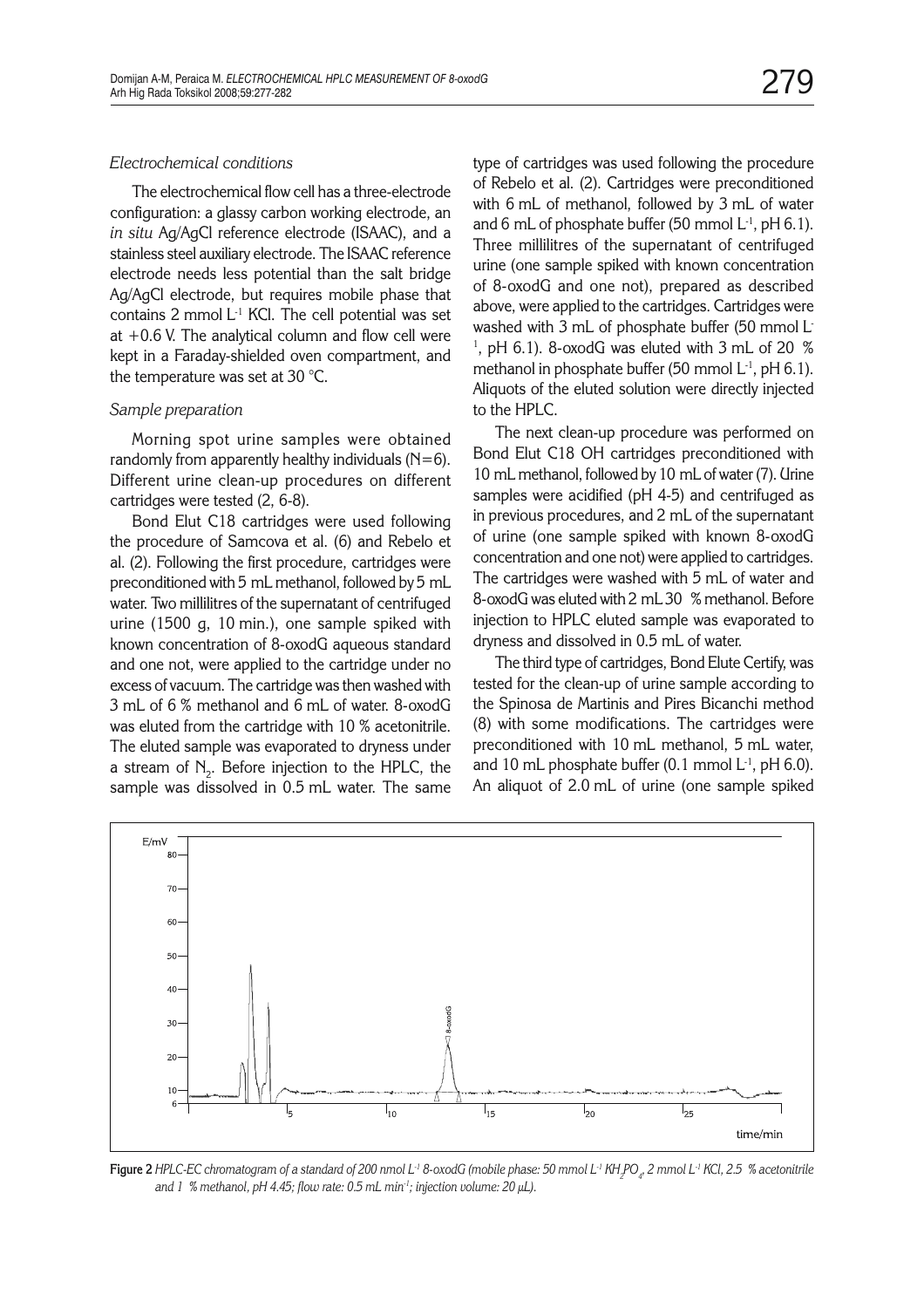## *Electrochemical conditions*

The electrochemical flow cell has a three-electrode configuration: a glassy carbon working electrode, an *in situ* Ag/AgCl reference electrode (ISAAC), and a stainless steel auxiliary electrode. The ISAAC reference electrode needs less potential than the salt bridge Ag/AgCl electrode, but requires mobile phase that contains 2 mmol  $L<sup>-1</sup>$  KCl. The cell potential was set at  $+0.6$  V. The analytical column and flow cell were kept in a Faraday-shielded oven compartment, and the temperature was set at 30 °C.

#### *Sample preparation*

Morning spot urine samples were obtained randomly from apparently healthy individuals (N=6). Different urine clean-up procedures on different cartridges were tested (2, 6-8).

Bond Elut C18 cartridges were used following the procedure of Samcova et al. (6) and Rebelo et al. (2). Following the first procedure, cartridges were preconditioned with 5 mL methanol, followed by 5 mL water. Two millilitres of the supernatant of centrifuged urine (1500 g, 10 min.), one sample spiked with known concentration of 8-oxodG aqueous standard and one not, were applied to the cartridge under no excess of vacuum. The cartridge was then washed with 3 mL of 6 % methanol and 6 mL of water. 8-oxodG was eluted from the cartridge with 10 % acetonitrile. The eluted sample was evaporated to dryness under a stream of  $\text{N}_2$ . Before injection to the HPLC, the sample was dissolved in 0.5 mL water. The same

type of cartridges was used following the procedure of Rebelo et al. (2). Cartridges were preconditioned with 6 mL of methanol, followed by 3 mL of water and 6 mL of phosphate buffer (50 mmol  $L^{-1}$ , pH 6.1). Three millilitres of the supernatant of centrifuged urine (one sample spiked with known concentration of 8-oxodG and one not), prepared as described above, were applied to the cartridges. Cartridges were washed with 3 mL of phosphate buffer (50 mmol L-<sup>1</sup>, pH 6.1). 8-oxodG was eluted with 3 mL of 20  $%$ methanol in phosphate buffer (50 mmol  $L<sup>-1</sup>$ , pH 6.1). Aliquots of the eluted solution were directly injected to the HPLC.

The next clean-up procedure was performed on Bond Elut C18 OH cartridges preconditioned with 10 mL methanol, followed by 10 mL of water (7). Urine samples were acidified (pH 4-5) and centrifuged as in previous procedures, and 2 mL of the supernatant of urine (one sample spiked with known 8-oxodG concentration and one not) were applied to cartridges. The cartridges were washed with 5 mL of water and 8-oxodG was eluted with 2 mL 30 % methanol. Before injection to HPLC eluted sample was evaporated to dryness and dissolved in 0.5 mL of water.

The third type of cartridges, Bond Elute Certify, was tested for the clean-up of urine sample according to the Spinosa de Martinis and Pires Bicanchi method (8) with some modifications. The cartridges were preconditioned with 10 mL methanol, 5 mL water, and 10 mL phosphate buffer  $(0.1 \text{ mmol L}^{-1}, \text{pH } 6.0)$ . An aliquot of 2.0 mL of urine (one sample spiked



**Figure 2** *HPLC-EC chromatogram of a standard of 200 nmol L-1 8-oxodG (mobile phase: 50 mmol L-1 KH2 PO4 , 2 mmol L-1 KCl, 2.5 % acetonitrile and 1 % methanol, pH 4.45; flow rate: 0.5 mL min-1; injection volume: 20 µL).*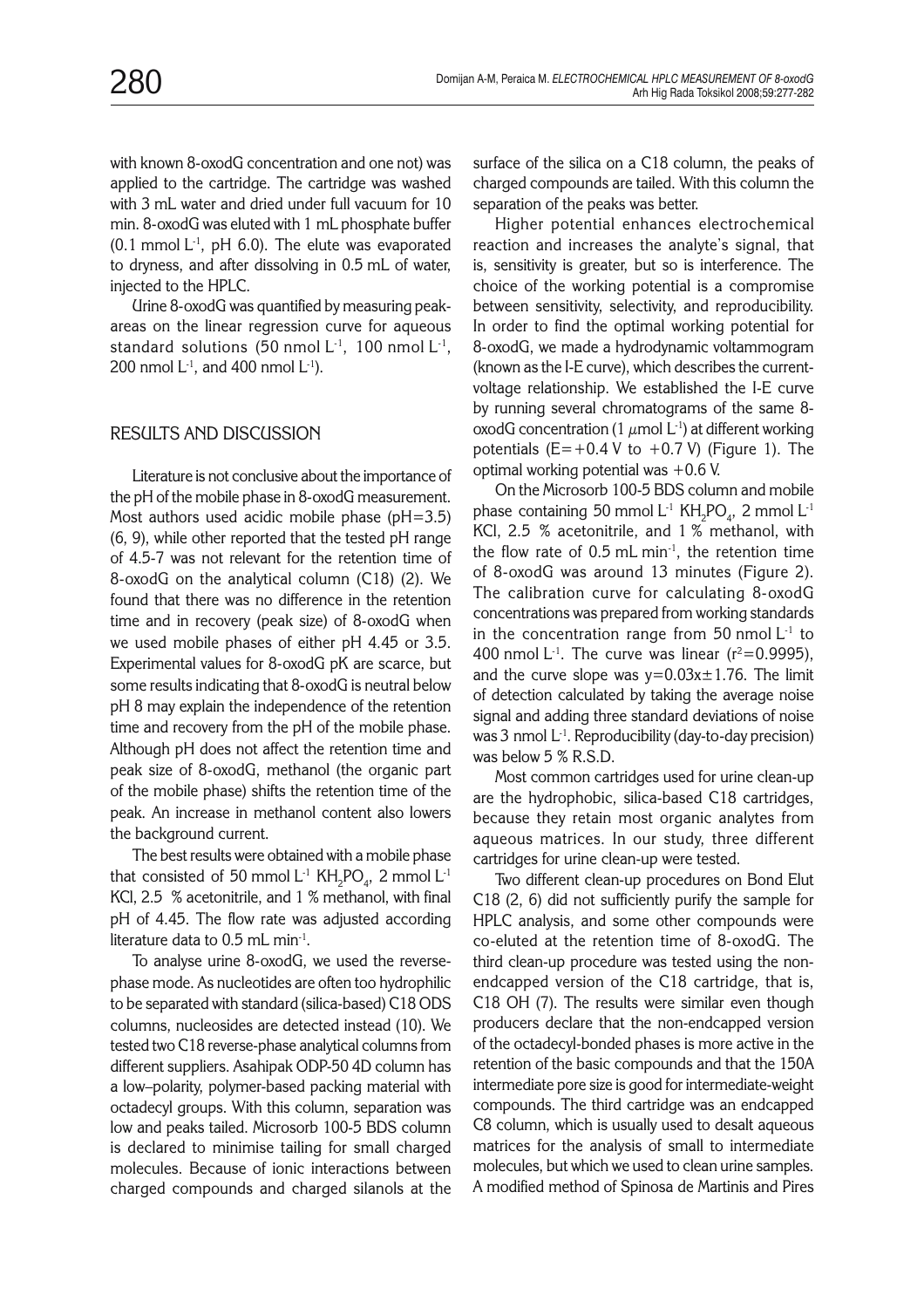with known 8-oxodG concentration and one not) was applied to the cartridge. The cartridge was washed with 3 mL water and dried under full vacuum for 10 min. 8-oxodG was eluted with 1 mL phosphate buffer  $(0.1 \text{ mmol L}^{-1}, \text{ pH } 6.0)$ . The elute was evaporated to dryness, and after dissolving in 0.5 mL of water, injected to the HPLC.

Urine 8-oxodG was quantified by measuring peakareas on the linear regression curve for aqueous standard solutions (50 nmol  $L^{-1}$ , 100 nmol  $L^{-1}$ , 200 nmol  $L^{-1}$ , and 400 nmol  $L^{-1}$ ).

# RESULTS AND DISCUSSION

Literature is not conclusive about the importance of the pH of the mobile phase in 8-oxodG measurement. Most authors used acidic mobile phase (pH=3.5) (6, 9), while other reported that the tested pH range of 4.5-7 was not relevant for the retention time of 8-oxodG on the analytical column (C18) (2). We found that there was no difference in the retention time and in recovery (peak size) of 8-oxodG when we used mobile phases of either pH 4.45 or 3.5. Experimental values for 8-oxodG pK are scarce, but some results indicating that 8-oxodG is neutral below pH 8 may explain the independence of the retention time and recovery from the pH of the mobile phase. Although pH does not affect the retention time and peak size of 8-oxodG, methanol (the organic part of the mobile phase) shifts the retention time of the peak. An increase in methanol content also lowers the background current.

The best results were obtained with a mobile phase that consisted of 50 mmol  $\mathsf{L}^{\text{-}1}$  KH $_{2}$ PO $_{4}$ , 2 mmol  $\mathsf{L}^{\text{-}1}$ KCl, 2.5 % acetonitrile, and 1 % methanol, with final pH of 4.45. The flow rate was adjusted according literature data to  $0.5$  mL min<sup>-1</sup>.

To analyse urine 8-oxodG, we used the reversephase mode. As nucleotides are often too hydrophilic to be separated with standard (silica-based) C18 ODS columns, nucleosides are detected instead (10). We tested two C18 reverse-phase analytical columns from different suppliers. Asahipak ODP-50 4D column has a low–polarity, polymer-based packing material with octadecyl groups. With this column, separation was low and peaks tailed. Microsorb 100-5 BDS column is declared to minimise tailing for small charged molecules. Because of ionic interactions between charged compounds and charged silanols at the surface of the silica on a C18 column, the peaks of charged compounds are tailed. With this column the separation of the peaks was better.

Higher potential enhances electrochemical reaction and increases the analyte's signal, that is, sensitivity is greater, but so is interference. The choice of the working potential is a compromise between sensitivity, selectivity, and reproducibility. In order to find the optimal working potential for 8-oxodG, we made a hydrodynamic voltammogram (known as the I-E curve), which describes the currentvoltage relationship. We established the I-E curve by running several chromatograms of the same 8 oxodG concentration (1  $\mu$ mol L<sup>-1</sup>) at different working potentials  $(E=+0.4 V$  to  $+0.7 V$ ) (Figure 1). The optimal working potential was +0.6 V.

On the Microsorb 100-5 BDS column and mobile phase containing 50 mmol  $\mathsf{L}^\text{-1}$  KH<sub>2</sub>PO<sub>4</sub>, 2 mmol  $\mathsf{L}^\text{-1}$ KCl, 2.5 % acetonitrile, and 1 % methanol, with the flow rate of 0.5 mL min-1, the retention time of 8-oxodG was around 13 minutes (Figure 2). The calibration curve for calculating 8-oxodG concentrations was prepared from working standards in the concentration range from 50 nmol  $L<sup>-1</sup>$  to 400 nmol  $L^{-1}$ . The curve was linear ( $r^2$ =0.9995), and the curve slope was  $y=0.03x\pm1.76$ . The limit of detection calculated by taking the average noise signal and adding three standard deviations of noise was 3 nmol  $L^{-1}$ . Reproducibility (day-to-day precision) was below 5 % R.S.D.

Most common cartridges used for urine clean-up are the hydrophobic, silica-based C18 cartridges, because they retain most organic analytes from aqueous matrices. In our study, three different cartridges for urine clean-up were tested.

Two different clean-up procedures on Bond Elut C18 (2, 6) did not sufficiently purify the sample for HPLC analysis, and some other compounds were co-eluted at the retention time of 8-oxodG. The third clean-up procedure was tested using the nonendcapped version of the C18 cartridge, that is, C18 OH (7). The results were similar even though producers declare that the non-endcapped version of the octadecyl-bonded phases is more active in the retention of the basic compounds and that the 150A intermediate pore size is good for intermediate-weight compounds. The third cartridge was an endcapped C8 column, which is usually used to desalt aqueous matrices for the analysis of small to intermediate molecules, but which we used to clean urine samples. A modified method of Spinosa de Martinis and Pires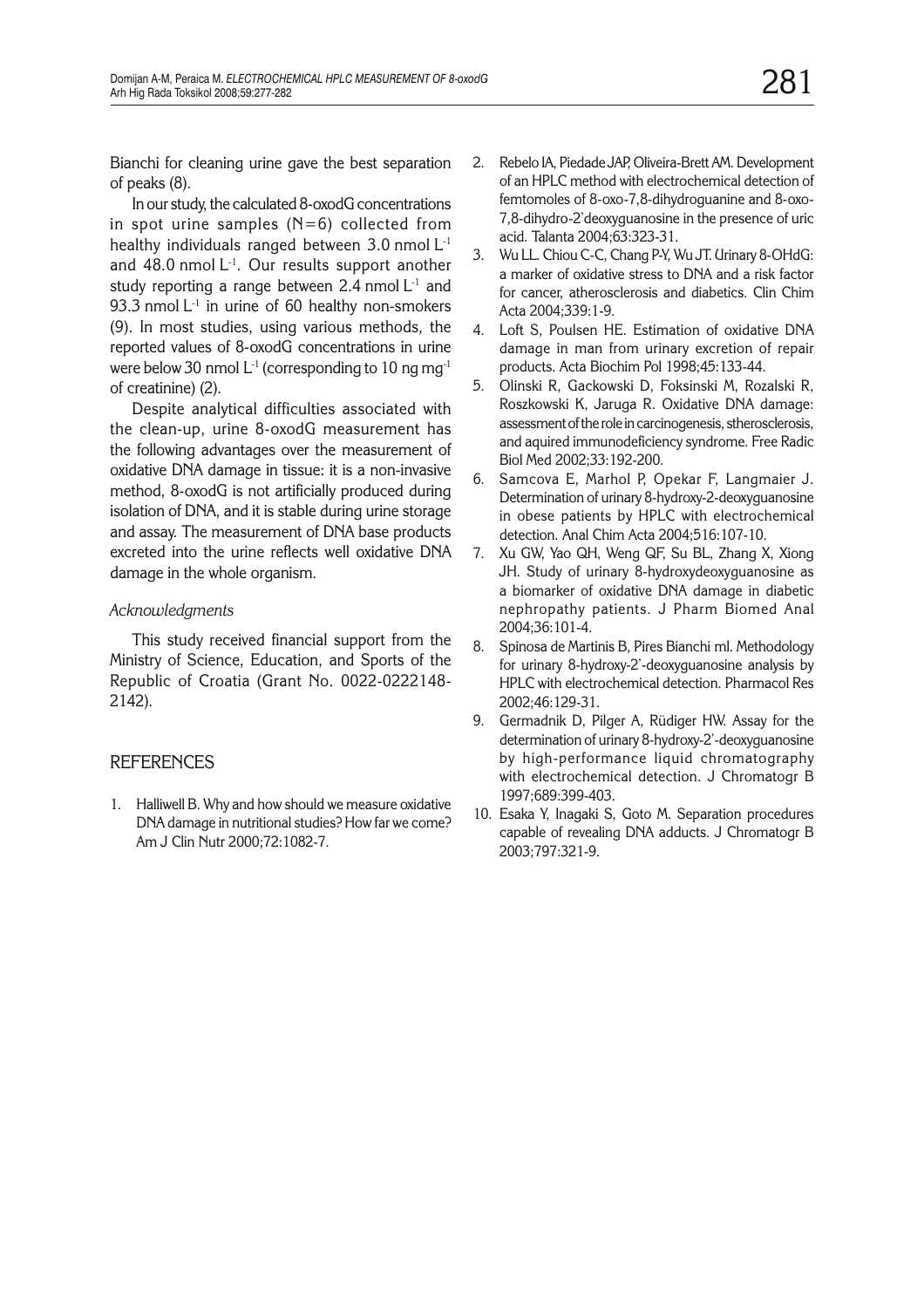Bianchi for cleaning urine gave the best separation of peaks (8).

In our study, the calculated 8-oxodG concentrations in spot urine samples  $(N=6)$  collected from healthy individuals ranged between 3.0 nmol L-1 and 48.0 nmol  $L^{-1}$ . Our results support another study reporting a range between 2.4 nmol  $L<sup>-1</sup>$  and 93.3 nmol  $L<sup>-1</sup>$  in urine of 60 healthy non-smokers (9). In most studies, using various methods, the reported values of 8-oxodG concentrations in urine were below 30 nmol  $L<sup>1</sup>$  (corresponding to 10 ng mg<sup>-1</sup> of creatinine) (2).

Despite analytical difficulties associated with the clean-up, urine 8-oxodG measurement has the following advantages over the measurement of oxidative DNA damage in tissue: it is a non-invasive method, 8-oxodG is not artificially produced during isolation of DNA, and it is stable during urine storage and assay. The measurement of DNA base products excreted into the urine reflects well oxidative DNA damage in the whole organism.

# *Acknowledgments*

This study received financial support from the Ministry of Science, Education, and Sports of the Republic of Croatia (Grant No. 0022-0222148- 2142).

# **REFERENCES**

1. Halliwell B. Why and how should we measure oxidative DNA damage in nutritional studies? How far we come? Am J Clin Nutr 2000;72:1082-7.

- 2. Rebelo IA, Piedade JAP, Oliveira-Brett AM. Development of an HPLC method with electrochemical detection of femtomoles of 8-oxo-7,8-dihydroguanine and 8-oxo-7,8-dihydro-2'deoxyguanosine in the presence of uric acid. Talanta 2004;63:323-31.
- 3. Wu LL. Chiou C-C, Chang P-Y, Wu JT. Urinary 8-OHdG: a marker of oxidative stress to DNA and a risk factor for cancer, atherosclerosis and diabetics. Clin Chim Acta 2004;339:1-9.
- 4. Loft S, Poulsen HE. Estimation of oxidative DNA damage in man from urinary excretion of repair products. Acta Biochim Pol 1998;45:133-44.
- 5. Olinski R, Gackowski D, Foksinski M, Rozalski R, Roszkowski K, Jaruga R. Oxidative DNA damage: assessment of the role in carcinogenesis, stherosclerosis, and aquired immunodeficiency syndrome. Free Radic Biol Med 2002;33:192-200.
- 6. Samcova E, Marhol P, Opekar F, Langmaier J. Determination of urinary 8-hydroxy-2-deoxyguanosine in obese patients by HPLC with electrochemical detection. Anal Chim Acta 2004;516:107-10.
- 7. Xu GW, Yao QH, Weng QF, Su BL, Zhang X, Xiong JH. Study of urinary 8-hydroxydeoxyguanosine as a biomarker of oxidative DNA damage in diabetic nephropathy patients. J Pharm Biomed Anal 2004;36:101-4.
- 8. Spinosa de Martinis B, Pires Bianchi ml. Methodology for urinary 8-hydroxy-2'-deoxyguanosine analysis by HPLC with electrochemical detection. Pharmacol Res 2002;46:129-31.
- 9. Germadnik D, Pilger A, Rüdiger HW. Assay for the determination of urinary 8-hydroxy-2'-deoxyguanosine by high-performance liquid chromatography with electrochemical detection. J Chromatogr B 1997;689:399-403.
- 10. Esaka Y, Inagaki S, Goto M. Separation procedures capable of revealing DNA adducts. J Chromatogr B 2003;797:321-9.